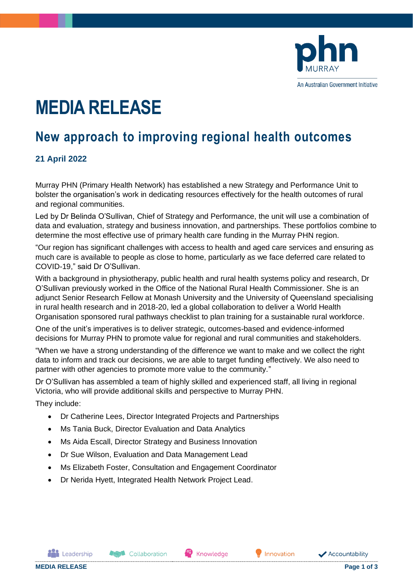

# **MEDIA RELEASE**

# **New approach to improving regional health outcomes**

## **21 April 2022**

Murray PHN (Primary Health Network) has established a new Strategy and Performance Unit to bolster the organisation's work in dedicating resources effectively for the health outcomes of rural and regional communities.

Led by Dr Belinda O'Sullivan, Chief of Strategy and Performance, the unit will use a combination of data and evaluation, strategy and business innovation, and partnerships. These portfolios combine to determine the most effective use of primary health care funding in the Murray PHN region.

"Our region has significant challenges with access to health and aged care services and ensuring as much care is available to people as close to home, particularly as we face deferred care related to COVID-19," said Dr O'Sullivan.

With a background in physiotherapy, public health and rural health systems policy and research, Dr O'Sullivan previously worked in the Office of the National Rural Health Commissioner. She is an adjunct Senior Research Fellow at Monash University and the University of Queensland specialising in rural health research and in 2018-20, led a global collaboration to deliver a World Health Organisation sponsored rural pathways checklist to plan training for a sustainable rural workforce.

One of the unit's imperatives is to deliver strategic, outcomes-based and evidence-informed decisions for Murray PHN to promote value for regional and rural communities and stakeholders.

"When we have a strong understanding of the difference we want to make and we collect the right data to inform and track our decisions, we are able to target funding effectively. We also need to partner with other agencies to promote more value to the community."

Dr O'Sullivan has assembled a team of highly skilled and experienced staff, all living in regional Victoria, who will provide additional skills and perspective to Murray PHN.

They include:

- Dr Catherine Lees, Director Integrated Projects and Partnerships
- Ms Tania Buck, Director Evaluation and Data Analytics
- Ms Aida Escall, Director Strategy and Business Innovation
- Dr Sue Wilson, Evaluation and Data Management Lead
- Ms Elizabeth Foster, Consultation and Engagement Coordinator
- Dr Nerida Hyett, Integrated Health Network Project Lead.

**Assistance** Collaboration

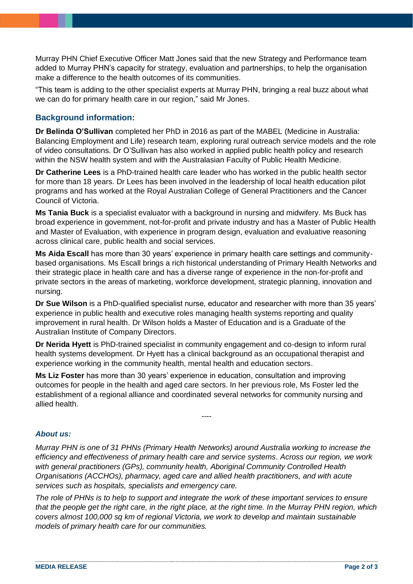Murray PHN Chief Executive Officer Matt Jones said that the new Strategy and Performance team added to Murray PHN's capacity for strategy, evaluation and partnerships, to help the organisation make a difference to the health outcomes of its communities.

"This team is adding to the other specialist experts at Murray PHN, bringing a real buzz about what we can do for primary health care in our region," said Mr Jones.

#### **Background information:**

**Dr Belinda O'Sullivan** completed her PhD in 2016 as part of the MABEL (Medicine in Australia: Balancing Employment and Life) research team, exploring rural outreach service models and the role of video consultations. Dr O'Sullivan has also worked in applied public health policy and research within the NSW health system and with the Australasian Faculty of Public Health Medicine.

**Dr Catherine Lees** is a PhD-trained health care leader who has worked in the public health sector for more than 18 years. Dr Lees has been involved in the leadership of local health education pilot programs and has worked at the Royal Australian College of General Practitioners and the Cancer Council of Victoria.

**Ms Tania Buck** is a specialist evaluator with a background in nursing and midwifery. Ms Buck has broad experience in government, not-for-profit and private industry and has a Master of Public Health and Master of Evaluation, with experience in program design, evaluation and evaluative reasoning across clinical care, public health and social services.

**Ms Aida Escall** has more than 30 years' experience in primary health care settings and communitybased organisations. Ms Escall brings a rich historical understanding of Primary Health Networks and their strategic place in health care and has a diverse range of experience in the non-for-profit and private sectors in the areas of marketing, workforce development, strategic planning, innovation and nursing.

**Dr Sue Wilson** is a PhD-qualified specialist nurse, educator and researcher with more than 35 years' experience in public health and executive roles managing health systems reporting and quality improvement in rural health. Dr Wilson holds a Master of Education and is a Graduate of the Australian Institute of Company Directors.

**Dr Nerida Hyett** is PhD-trained specialist in community engagement and co-design to inform rural health systems development. Dr Hyett has a clinical background as an occupational therapist and experience working in the community health, mental health and education sectors.

**Ms Liz Foster** has more than 30 years' experience in education, consultation and improving outcomes for people in the health and aged care sectors. In her previous role, Ms Foster led the establishment of a regional alliance and coordinated several networks for community nursing and allied health.

#### *About us:*

*Murray PHN is one of 31 PHNs (Primary Health Networks) around Australia working to increase the efficiency and effectiveness of primary health care and service systems. Across our region, we work with general practitioners (GPs), community health, Aboriginal Community Controlled Health Organisations (ACCHOs), pharmacy, aged care and allied health practitioners, and with acute services such as hospitals, specialists and emergency care.*

----

*The role of PHNs is to help to support and integrate the work of these important services to ensure that the people get the right care, in the right place, at the right time. In the Murray PHN region, which covers almost 100,000 sq km of regional Victoria, we work to develop and maintain sustainable models of primary health care for our communities.*